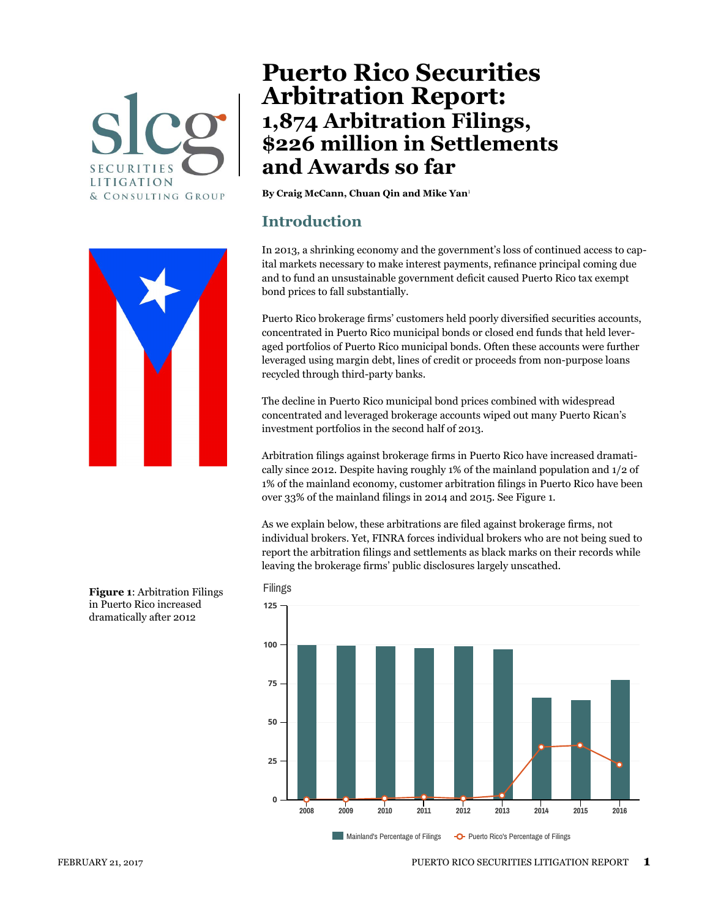



# **Puerto Rico Securities Arbitration Report: 1,874 Arbitration Filings, \$226 million in Settlements and Awards so far**

**By Craig McCann, Chuan Qin and Mike Yan**[1](#page-11-0)

#### **Introduction**

In 2013, a shrinking economy and the government's loss of continued access to capital markets necessary to make interest payments, refinance principal coming due and to fund an unsustainable government deficit caused Puerto Rico tax exempt bond prices to fall substantially.

Puerto Rico brokerage firms' customers held poorly diversified securities accounts, concentrated in Puerto Rico municipal bonds or closed end funds that held leveraged portfolios of Puerto Rico municipal bonds. Often these accounts were further leveraged using margin debt, lines of credit or proceeds from non-purpose loans recycled through third-party banks.

The decline in Puerto Rico municipal bond prices combined with widespread concentrated and leveraged brokerage accounts wiped out many Puerto Rican's investment portfolios in the second half of 2013.

Arbitration filings against brokerage firms in Puerto Rico have increased dramatically since 2012. Despite having roughly 1% of the mainland population and 1/2 of 1% of the mainland economy, customer arbitration filings in Puerto Rico have been over 33% of the mainland filings in 2014 and 2015. See Figure 1.

As we explain below, these arbitrations are filed against brokerage firms, not individual brokers. Yet, FINRA forces individual brokers who are not being sued to report the arbitration filings and settlements as black marks on their records while leaving the brokerage firms' public disclosures largely unscathed.



**Figure 1**: Arbitration Filings in Puerto Rico increased dramatically after 2012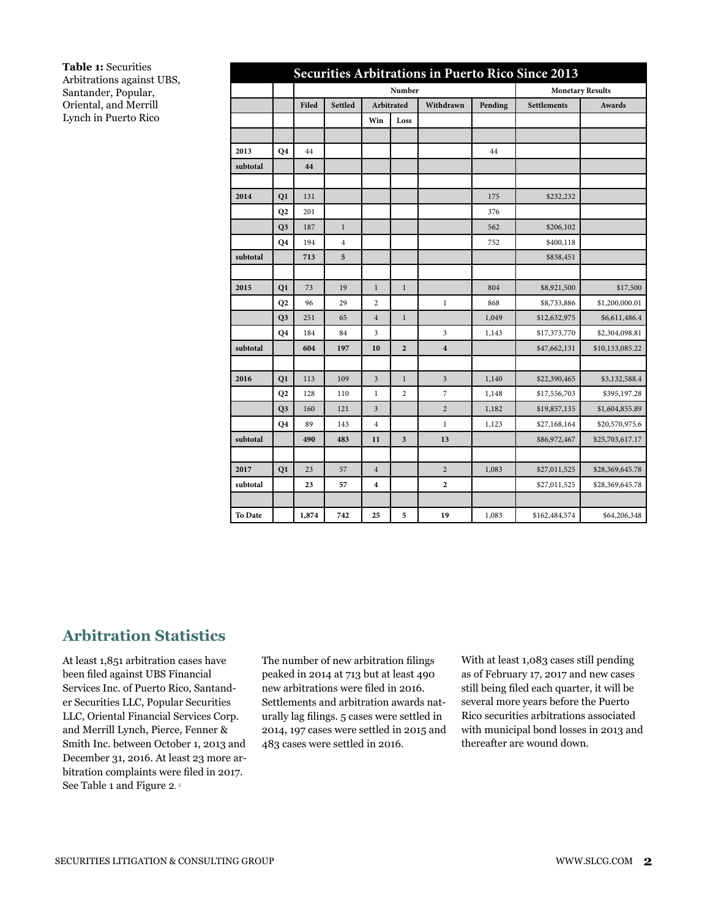**Table 1:** Securities Arbitrations against UBS, Santander, Popular, Oriental, and Merrill Lynch in Puerto Rico

|          | Securities Arbitrations in Puerto Rico Since 2013 |       |                |                  |                |                         |         |               |                 |  |  |  |  |  |
|----------|---------------------------------------------------|-------|----------------|------------------|----------------|-------------------------|---------|---------------|-----------------|--|--|--|--|--|
|          |                                                   |       |                |                  |                | <b>Monetary Results</b> |         |               |                 |  |  |  |  |  |
|          |                                                   | Filed | <b>Settled</b> |                  | Arbitrated     | Withdrawn               | Pending | Settlements   | Awards          |  |  |  |  |  |
|          |                                                   |       |                | Win              | Loss           |                         |         |               |                 |  |  |  |  |  |
|          |                                                   |       |                |                  |                |                         |         |               |                 |  |  |  |  |  |
| 2013     | Q4                                                | 44    |                |                  |                |                         | 44      |               |                 |  |  |  |  |  |
| subtotal |                                                   | 44    |                |                  |                |                         |         |               |                 |  |  |  |  |  |
|          |                                                   |       |                |                  |                |                         |         |               |                 |  |  |  |  |  |
| 2014     | Q1                                                | 131   |                |                  |                |                         | 175     | \$232,232     |                 |  |  |  |  |  |
|          | Q2                                                | 201   |                |                  |                |                         | 376     |               |                 |  |  |  |  |  |
|          | Q <sub>3</sub>                                    | 187   | $\mathbf{1}$   |                  |                |                         | 562     | \$206,102     |                 |  |  |  |  |  |
|          | Q4                                                | 194   | $\overline{4}$ |                  |                |                         | 752     | \$400,118     |                 |  |  |  |  |  |
| subtotal |                                                   | 713   | 5              |                  |                |                         |         | \$838,451     |                 |  |  |  |  |  |
|          |                                                   |       |                |                  |                |                         |         |               |                 |  |  |  |  |  |
| 2015     | Q1                                                | 73    | 19             | $\mathbf{1}$     | $\mathbf{1}$   |                         | 804     | \$8,921,500   | \$17,500        |  |  |  |  |  |
|          | Q2                                                | 96    | 29             | 2                |                | $\mathbf{1}$            | 868     | \$8,733,886   | \$1,200,000.01  |  |  |  |  |  |
|          | Q <sub>3</sub>                                    | 251   | 65             | $\overline{4}$   | $\mathbf{1}$   |                         | 1,049   | \$12,632,975  | \$6,611,486.4   |  |  |  |  |  |
|          | Q4                                                | 184   | 84             | 3                |                | 3                       | 1,143   | \$17,373,770  | \$2,304,098.81  |  |  |  |  |  |
| subtotal |                                                   | 604   | 197            | 10               | $\overline{2}$ | $\overline{\mathbf{4}}$ |         | \$47,662,131  | \$10,133,085.22 |  |  |  |  |  |
|          |                                                   |       |                |                  |                |                         |         |               |                 |  |  |  |  |  |
| 2016     | Q1                                                | 113   | 109            | $\mathfrak{Z}$   | $\mathbf{1}$   | 3                       | 1,140   | \$22,390,465  | \$3,132,588.4   |  |  |  |  |  |
|          | Q2                                                | 128   | 110            | $\mathbf{1}$     | $\overline{c}$ | 7                       | 1,148   | \$17,556,703  | \$395,197.28    |  |  |  |  |  |
|          | Q <sub>3</sub>                                    | 160   | 121            | $\mathfrak{Z}$   |                | $\overline{2}$          | 1,182   | \$19,857,135  | \$1,604,855.89  |  |  |  |  |  |
|          | Q <sub>4</sub>                                    | 89    | 143            | $\overline{4}$   |                | $\mathbf{1}$            | 1,123   | \$27,168,164  | \$20,570,975.6  |  |  |  |  |  |
| subtotal |                                                   | 490   | 483            | 11               | 3              | 13                      |         | \$86,972,467  | \$25,703,617.17 |  |  |  |  |  |
|          |                                                   |       |                |                  |                |                         |         |               |                 |  |  |  |  |  |
| 2017     | Q1                                                | 23    | 57             | $\overline{4}$   |                | $\overline{2}$          | 1,083   | \$27,011,525  | \$28,369,645.78 |  |  |  |  |  |
| subtotal |                                                   | 23    | 57             | $\boldsymbol{4}$ |                | 2                       |         | \$27,011,525  | \$28,369,645.78 |  |  |  |  |  |
|          |                                                   |       |                |                  |                |                         |         |               |                 |  |  |  |  |  |
| To Date  |                                                   | 1,874 | 742            | 25               | 5              | 19                      | 1,083   | \$162,484,574 | \$64,206,348    |  |  |  |  |  |

#### **Arbitration Statistics**

At least 1,851 arbitration cases have been filed against UBS Financial Services Inc. of Puerto Rico, Santander Securities LLC, Popular Securities LLC, Oriental Financial Services Corp. and Merrill Lynch, Pierce, Fenner & Smith Inc. between October 1, 2013 and December 31, 2016. At least 23 more arbitration complaints were filed in 2017. See Table 1 and Figure 2.<sup>2</sup>

The number of new arbitration filings peaked in 2014 at 713 but at least 490 new arbitrations were filed in 2016. Settlements and arbitration awards naturally lag filings. 5 cases were settled in 2014, 197 cases were settled in 2015 and 483 cases were settled in 2016.

With at least 1,083 cases still pending as of February 17, 2017 and new cases still being filed each quarter, it will be several more years before the Puerto Rico securities arbitrations associated with municipal bond losses in 2013 and thereafter are wound down.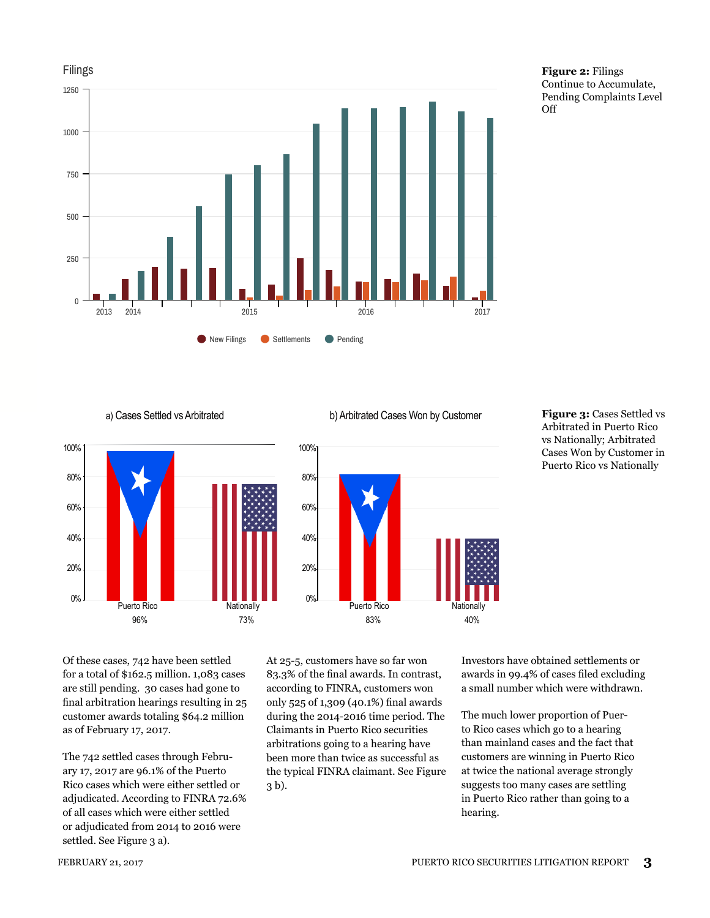

**Figure 2:** Filings Continue to Accumulate, Pending Complaints Level Off



a) Cases Settled vs Arbitrated b) Arbitrated Cases Won by Customer **Figure 3:** Cases Settled vs



#### Arbitrated in Puerto Rico vs Nationally; Arbitrated Cases Won by Customer in Puerto Rico vs Nationally

Of these cases, 742 have been settled for a total of \$162.5 million. 1,083 cases are still pending. 30 cases had gone to final arbitration hearings resulting in 25 customer awards totaling \$64.2 million as of February 17, 2017.

The 742 settled cases through February 17, 2017 are 96.1% of the Puerto Rico cases which were either settled or adjudicated. According to FINRA 72.6% of all cases which were either settled or adjudicated from 2014 to 2016 were settled. See Figure 3 a).

At 25-5, customers have so far won 83.3% of the final awards. In contrast, according to FINRA, customers won only 525 of 1,309 (40.1%) final awards during the 2014-2016 time period. The Claimants in Puerto Rico securities arbitrations going to a hearing have been more than twice as successful as the typical FINRA claimant. See Figure 3 b).

Investors have obtained settlements or awards in 99.4% of cases filed excluding a small number which were withdrawn.

The much lower proportion of Puerto Rico cases which go to a hearing than mainland cases and the fact that customers are winning in Puerto Rico at twice the national average strongly suggests too many cases are settling in Puerto Rico rather than going to a hearing.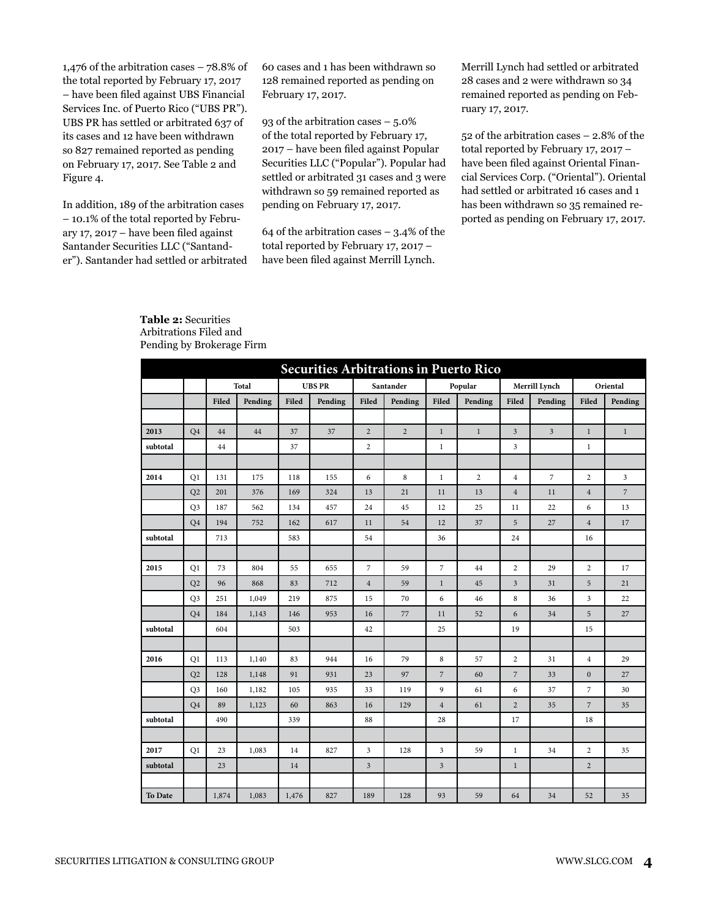1,476 of the arbitration cases – 78.8% of the total reported by February 17, 2017 – have been filed against UBS Financial Services Inc. of Puerto Rico ("UBS PR"). UBS PR has settled or arbitrated 637 of its cases and 12 have been withdrawn so 827 remained reported as pending on February 17, 2017. See Table 2 and Figure 4.

In addition, 189 of the arbitration cases – 10.1% of the total reported by February 17, 2017 – have been filed against Santander Securities LLC ("Santander"). Santander had settled or arbitrated 60 cases and 1 has been withdrawn so 128 remained reported as pending on February 17, 2017.

93 of the arbitration cases – 5.0% of the total reported by February 17, 2017 – have been filed against Popular Securities LLC ("Popular"). Popular had settled or arbitrated 31 cases and 3 were withdrawn so 59 remained reported as pending on February 17, 2017.

64 of the arbitration cases  $-3.4\%$  of the total reported by February 17, 2017 – have been filed against Merrill Lynch.

Merrill Lynch had settled or arbitrated 28 cases and 2 were withdrawn so 34 remained reported as pending on February 17, 2017.

52 of the arbitration cases – 2.8% of the total reported by February 17, 2017 – have been filed against Oriental Financial Services Corp. ("Oriental"). Oriental had settled or arbitrated 16 cases and 1 has been withdrawn so 35 remained reported as pending on February 17, 2017.

|          | <b>Securities Arbitrations in Puerto Rico</b> |       |              |               |         |                |                |                         |                |                         |                |                  |                |  |
|----------|-----------------------------------------------|-------|--------------|---------------|---------|----------------|----------------|-------------------------|----------------|-------------------------|----------------|------------------|----------------|--|
|          |                                               |       | <b>Total</b> | <b>UBS PR</b> |         |                | Santander      |                         | Popular        |                         | Merrill Lynch  |                  | Oriental       |  |
|          |                                               | Filed | Pending      | Filed         | Pending | Filed          | Pending        | Filed                   | Pending        | Filed                   | Pending        | Filed            | Pending        |  |
|          |                                               |       |              |               |         |                |                |                         |                |                         |                |                  |                |  |
| 2013     | Q <sub>4</sub>                                | 44    | 44           | 37            | 37      | $\overline{c}$ | $\overline{2}$ | $\mathbf{1}$            | $\,1$          | $\mathfrak{Z}$          | $\mathfrak{Z}$ | $\mathbf{1}$     | $\mathbf{1}$   |  |
| subtotal |                                               | 44    |              | 37            |         | $\overline{c}$ |                | $\,1$                   |                | $\overline{3}$          |                | $\,1$            |                |  |
|          |                                               |       |              |               |         |                |                |                         |                |                         |                |                  |                |  |
| 2014     | Q1                                            | 131   | 175          | 118           | 155     | 6              | 8              | $\mathbf{1}$            | $\overline{c}$ | $\overline{4}$          | $\overline{7}$ | $\overline{2}$   | $\mathbf{3}$   |  |
|          | Q2                                            | 201   | 376          | 169           | 324     | 13             | 21             | 11                      | 13             | $\overline{4}$          | 11             | $\overline{4}$   | $\overline{7}$ |  |
|          | Q <sub>3</sub>                                | 187   | 562          | 134           | 457     | 24             | 45             | 12                      | 25             | 11                      | $22\,$         | 6                | 13             |  |
|          | Q <sub>4</sub>                                | 194   | 752          | 162           | 617     | 11             | 54             | 12                      | 37             | 5                       | 27             | $\overline{4}$   | 17             |  |
| subtotal |                                               | 713   |              | 583           |         | 54             |                | 36                      |                | 24                      |                | 16               |                |  |
|          |                                               |       |              |               |         |                |                |                         |                |                         |                |                  |                |  |
| 2015     | O <sub>1</sub>                                | 73    | 804          | 55            | 655     | $\overline{7}$ | 59             | $\overline{7}$          | 44             | $\overline{2}$          | 29             | $\overline{2}$   | 17             |  |
|          | Q2                                            | 96    | 868          | 83            | 712     | $\overline{4}$ | 59             | $\,1$                   | 45             | $\overline{\mathbf{3}}$ | 31             | 5                | 21             |  |
|          | Q <sub>3</sub>                                | 251   | 1,049        | 219           | 875     | 15             | 70             | 6                       | 46             | $\,$ 8 $\,$             | 36             | 3                | 22             |  |
|          | Q <sub>4</sub>                                | 184   | 1,143        | 146           | 953     | 16             | 77             | 11                      | 52             | 6                       | 34             | 5                | 27             |  |
| subtotal |                                               | 604   |              | 503           |         | 42             |                | 25                      |                | 19                      |                | 15               |                |  |
|          |                                               |       |              |               |         |                |                |                         |                |                         |                |                  |                |  |
| 2016     | Q1                                            | 113   | 1,140        | 83            | 944     | 16             | 79             | $\bf8$                  | 57             | $\sqrt{2}$              | 31             | $\,4\,$          | 29             |  |
|          | Q2                                            | 128   | 1,148        | 91            | 931     | 23             | 97             | $\overline{7}$          | 60             | $\overline{7}$          | 33             | $\boldsymbol{0}$ | 27             |  |
|          | Q <sub>3</sub>                                | 160   | 1,182        | 105           | 935     | 33             | 119            | 9                       | 61             | 6                       | 37             | $\overline{7}$   | 30             |  |
|          | Q <sub>4</sub>                                | 89    | 1,123        | 60            | 863     | 16             | 129            | $\overline{4}$          | 61             | $\sqrt{2}$              | 35             | $\overline{7}$   | 35             |  |
| subtotal |                                               | 490   |              | 339           |         | 88             |                | 28                      |                | 17                      |                | 18               |                |  |
|          |                                               |       |              |               |         |                |                |                         |                |                         |                |                  |                |  |
| 2017     | Q1                                            | 23    | 1,083        | 14            | 827     | $\overline{3}$ | 128            | $\overline{\mathbf{3}}$ | 59             | $\,1\,$                 | 34             | $\overline{c}$   | 35             |  |
| subtotal |                                               | 23    |              | 14            |         | $\mathfrak{Z}$ |                | $\mathfrak{Z}$          |                | $\,1$                   |                | $\overline{2}$   |                |  |
|          |                                               |       |              |               |         |                |                |                         |                |                         |                |                  |                |  |
| To Date  |                                               | 1,874 | 1,083        | 1,476         | 827     | 189            | 128            | 93                      | 59             | 64                      | 34             | 52               | 35             |  |

#### **Table 2:** Securities Arbitrations Filed and Pending by Brokerage Firm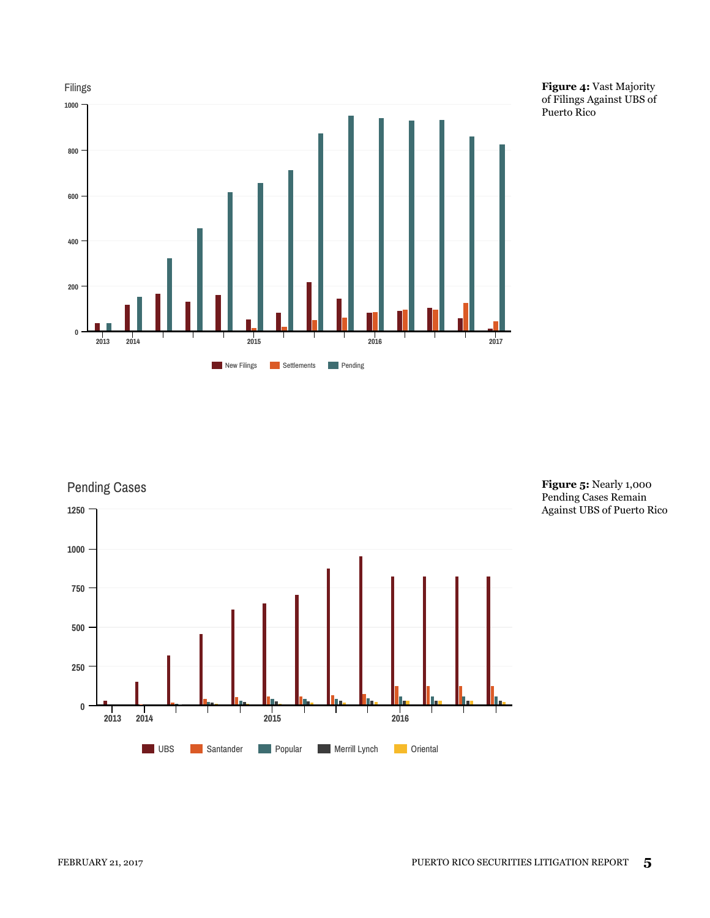

**Figure 4:** Vast Majority of Filings Against UBS of Puerto Rico



**Figure 5:** Nearly 1,000 Pending Cases Remain Against UBS of Puerto Rico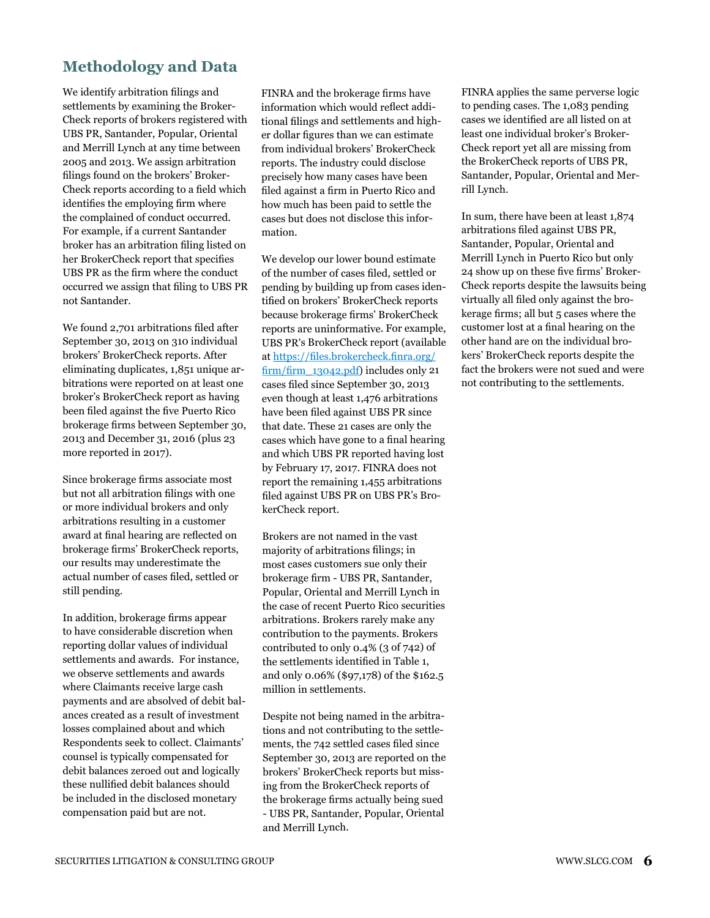#### **Methodology and Data**

We identify arbitration filings and settlements by examining the Broker-Check reports of brokers registered with UBS PR, Santander, Popular, Oriental and Merrill Lynch at any time between 2005 and 2013. We assign arbitration filings found on the brokers' Broker-Check reports according to a field which identifies the employing firm where the complained of conduct occurred. For example, if a current Santander broker has an arbitration filing listed on her BrokerCheck report that specifies UBS PR as the firm where the conduct occurred we assign that filing to UBS PR not Santander.

We found 2,701 arbitrations filed after September 30, 2013 on 310 individual brokers' BrokerCheck reports. After eliminating duplicates, 1,851 unique arbitrations were reported on at least one broker's BrokerCheck report as having been filed against the five Puerto Rico brokerage firms between September 30, 2013 and December 31, 2016 (plus 23 more reported in 2017).

Since brokerage firms associate most but not all arbitration filings with one or more individual brokers and only arbitrations resulting in a customer award at final hearing are reflected on brokerage firms' BrokerCheck reports, our results may underestimate the actual number of cases filed, settled or still pending.

In addition, brokerage firms appear to have considerable discretion when reporting dollar values of individual settlements and awards. For instance, we observe settlements and awards where Claimants receive large cash payments and are absolved of debit balances created as a result of investment losses complained about and which Respondents seek to collect. Claimants' counsel is typically compensated for debit balances zeroed out and logically these nullified debit balances should be included in the disclosed monetary compensation paid but are not.

FINRA and the brokerage firms have information which would reflect additional filings and settlements and higher dollar figures than we can estimate from individual brokers' BrokerCheck reports. The industry could disclose precisely how many cases have been filed against a firm in Puerto Rico and how much has been paid to settle the cases but does not disclose this information.

We develop our lower bound estimate of the number of cases filed, settled or pending by building up from cases identified on brokers' BrokerCheck reports because brokerage firms' BrokerCheck reports are uninformative. For example, UBS PR's BrokerCheck report (available at https://files.brokercheck.finra.org/ firm/firm\_13042.pdf) includes only 21 cases filed since September 30, 2013 even though at least 1,476 arbitrations have been filed against UBS PR since that date. These 21 cases are only the cases which have gone to a final hearing and which UBS PR reported having lost by February 17, 2017. FINRA does not report the remaining 1,455 arbitrations filed against UBS PR on UBS PR's BrokerCheck report.

Brokers are not named in the vast majority of arbitrations filings; in most cases customers sue only their brokerage firm - UBS PR, Santander, Popular, Oriental and Merrill Lynch in the case of recent Puerto Rico securities arbitrations. Brokers rarely make any contribution to the payments. Brokers contributed to only 0.4% (3 of 742) of the settlements identified in Table 1, and only 0.06% (\$97,178) of the \$162.5 million in settlements.

Despite not being named in the arbitrations and not contributing to the settlements, the 742 settled cases filed since September 30, 2013 are reported on the brokers' BrokerCheck reports but missing from the BrokerCheck reports of the brokerage firms actually being sued - UBS PR, Santander, Popular, Oriental and Merrill Lynch.

FINRA applies the same perverse logic to pending cases. The 1,083 pending cases we identified are all listed on at least one individual broker's Broker-Check report yet all are missing from the BrokerCheck reports of UBS PR, Santander, Popular, Oriental and Merrill Lynch.

In sum, there have been at least 1,874 arbitrations filed against UBS PR, Santander, Popular, Oriental and Merrill Lynch in Puerto Rico but only 24 show up on these five firms' Broker-Check reports despite the lawsuits being virtually all filed only against the brokerage firms; all but 5 cases where the customer lost at a final hearing on the other hand are on the individual brokers' BrokerCheck reports despite the fact the brokers were not sued and were not contributing to the settlements.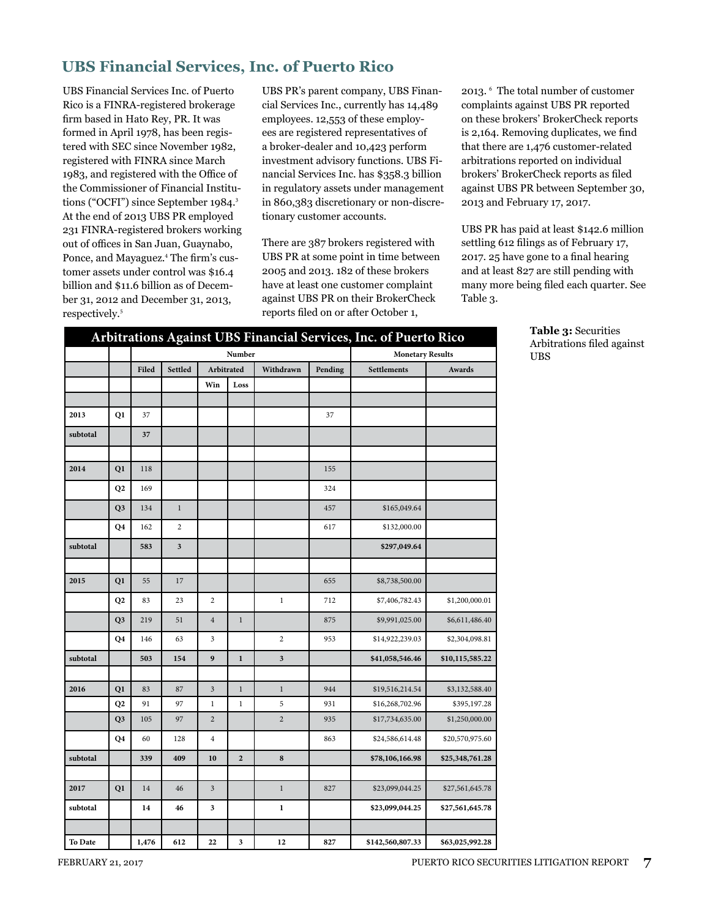### **UBS Financial Services, Inc. of Puerto Rico**

UBS Financial Services Inc. of Puerto Rico is a FINRA-registered brokerage firm based in Hato Rey, PR. It was formed in April 1978, has been registered with SEC since November 1982, registered with FINRA since March 1983, and registered with the Office of the Commissioner of Financial Institutions ("OCFI") since September 1984.<sup>3</sup> At the end of 2013 UBS PR employed 231 FINRA-registered brokers working out of offices in San Juan, Guaynabo, Ponce, and Mayaguez.<sup>4</sup> The firm's customer assets under control was \$16.4 billion and \$11.6 billion as of December 31, 2012 and December 31, 2013, respectively.<sup>5</sup>

UBS PR's parent company, UBS Financial Services Inc., currently has 14,489 employees. 12,553 of these employees are registered representatives of a broker-dealer and 10,423 perform investment advisory functions. UBS Financial Services Inc. has \$358.3 billion in regulatory assets under management in 860,383 discretionary or non-discretionary customer accounts.

There are 387 brokers registered with UBS PR at some point in time between 2005 and 2013. 182 of these brokers have at least one customer complaint against UBS PR on their BrokerCheck reports filed on or after October 1,

2013. 6 The total number of customer complaints against UBS PR reported on these brokers' BrokerCheck reports is 2,164. Removing duplicates, we find that there are 1,476 customer-related arbitrations reported on individual brokers' BrokerCheck reports as filed against UBS PR between September 30, 2013 and February 17, 2017.

UBS PR has paid at least \$142.6 million settling 612 filings as of February 17, 2017. 25 have gone to a final hearing and at least 827 are still pending with many more being filed each quarter. See Table 3.

|          |                |       | Arbitrations Against UBS Financial Services, Inc. of Puerto Rico |                         |                |                |                         |                  |                 |
|----------|----------------|-------|------------------------------------------------------------------|-------------------------|----------------|----------------|-------------------------|------------------|-----------------|
|          |                |       |                                                                  |                         | Number         |                | <b>Monetary Results</b> |                  |                 |
|          |                | Filed | Settled                                                          | Arbitrated              |                | Withdrawn      | Pending                 | Settlements      | Awards          |
|          |                |       |                                                                  | Win                     | Loss           |                |                         |                  |                 |
|          |                |       |                                                                  |                         |                |                |                         |                  |                 |
| 2013     | Q1             | 37    |                                                                  |                         |                |                | 37                      |                  |                 |
| subtotal |                | 37    |                                                                  |                         |                |                |                         |                  |                 |
|          |                |       |                                                                  |                         |                |                |                         |                  |                 |
| 2014     | Q1             | 118   |                                                                  |                         |                |                | 155                     |                  |                 |
|          | Q <sub>2</sub> | 169   |                                                                  |                         |                |                | 324                     |                  |                 |
|          | Q <sub>3</sub> | 134   | $\,1$                                                            |                         |                |                | 457                     | \$165,049.64     |                 |
|          | Q4             | 162   | 2                                                                |                         |                |                | 617                     | \$132,000.00     |                 |
| subtotal |                | 583   | 3                                                                |                         |                |                |                         | \$297,049.64     |                 |
|          |                |       |                                                                  |                         |                |                |                         |                  |                 |
| 2015     | Q <sub>1</sub> | 55    | 17                                                               |                         |                |                | 655                     | \$8,738,500.00   |                 |
|          | Q <sub>2</sub> | 83    | 23                                                               | $\overline{2}$          |                | $\mathbf{1}$   | 712                     | \$7,406,782.43   | \$1,200,000.01  |
|          | Q <sub>3</sub> | 219   | 51                                                               | $\sqrt{4}$              | $\,1\,$        |                | 875                     | \$9,991,025.00   | \$6,611,486.40  |
|          | Q4             | 146   | 63                                                               | 3                       |                | $\overline{c}$ | 953                     | \$14,922,239.03  | \$2,304,098.81  |
| subtotal |                | 503   | 154                                                              | 9                       | $\mathbf 1$    | 3              |                         | \$41,058,546.46  | \$10,115,585.22 |
|          |                |       |                                                                  |                         |                |                |                         |                  |                 |
| 2016     | Q1             | 83    | 87                                                               | $\overline{\mathbf{3}}$ | $1\,$          | $\,1$          | 944                     | \$19,516,214.54  | \$3,132,588.40  |
|          | Q <sub>2</sub> | 91    | 97                                                               | $\,1$                   | $\,1\,$        | 5              | 931                     | \$16,268,702.96  | \$395,197.28    |
|          | Q <sub>3</sub> | 105   | 97                                                               | $\overline{2}$          |                | $\overline{2}$ | 935                     | \$17,734,635.00  | \$1,250,000.00  |
|          | Q4             | 60    | 128                                                              | $\overline{4}$          |                |                | 863                     | \$24,586,614.48  | \$20,570,975.60 |
| subtotal |                | 339   | 409                                                              | 10                      | $\overline{2}$ | $\bf 8$        |                         | \$78,106,166.98  | \$25,348,761.28 |
|          |                |       |                                                                  |                         |                |                |                         |                  |                 |
| 2017     | Q1             | 14    | 46                                                               | $\mathfrak{Z}$          |                | $\,1$          | 827                     | \$23,099,044.25  | \$27,561,645.78 |
| subtotal |                | 14    | 46                                                               | 3                       |                | $\mathbf{1}$   |                         | \$23,099,044.25  | \$27,561,645.78 |
|          |                |       |                                                                  |                         |                |                |                         |                  |                 |
| To Date  |                | 1,476 | 612                                                              | 22                      | 3              | 12             | 827                     | \$142,560,807.33 | \$63,025,992.28 |

**Table 3:** Securities Arbitrations filed against UBS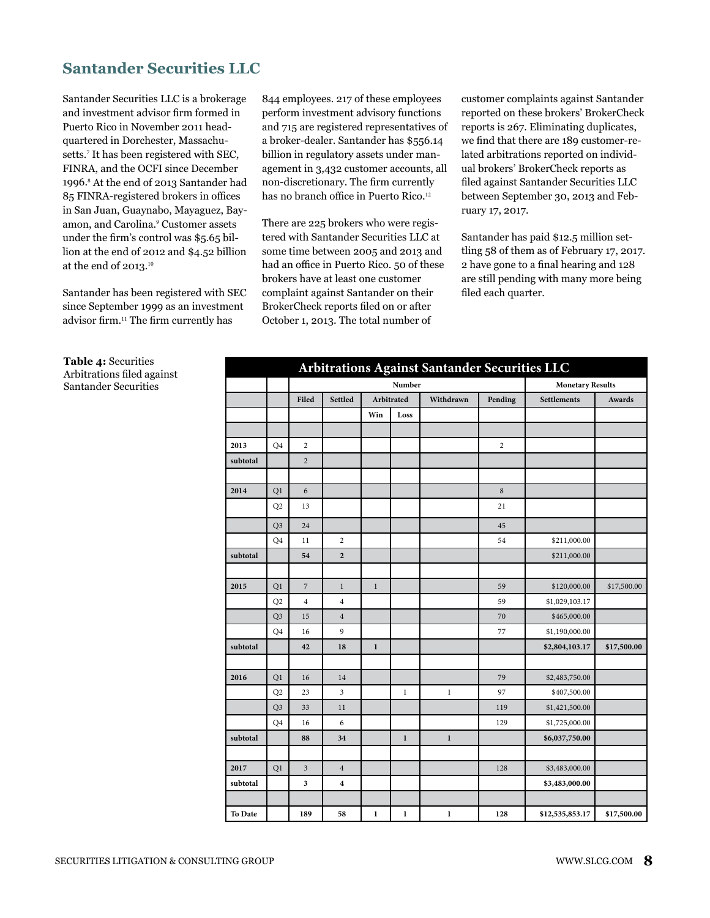### **Santander Securities LLC**

Santander Securities LLC is a brokerage and investment advisor firm formed in Puerto Rico in November 2011 headquartered in Dorchester, Massachusetts.<sup>7</sup> It has been registered with SEC, FINRA, and the OCFI since December 1996.<sup>8</sup> At the end of 2013 Santander had 85 FINRA-registered brokers in offices in San Juan, Guaynabo, Mayaguez, Bayamon, and Carolina.<sup>9</sup> Customer assets under the firm's control was \$5.65 billion at the end of 2012 and \$4.52 billion at the end of  $2013.^{10}$ 

Santander has been registered with SEC since September 1999 as an investment advisor firm.11 The firm currently has

844 employees. 217 of these employees perform investment advisory functions and 715 are registered representatives of a broker-dealer. Santander has \$556.14 billion in regulatory assets under management in 3,432 customer accounts, all non-discretionary. The firm currently has no branch office in Puerto Rico.<sup>12</sup>

There are 225 brokers who were registered with Santander Securities LLC at some time between 2005 and 2013 and had an office in Puerto Rico. 50 of these brokers have at least one customer complaint against Santander on their BrokerCheck reports filed on or after October 1, 2013. The total number of

customer complaints against Santander reported on these brokers' BrokerCheck reports is 267. Eliminating duplicates, we find that there are 189 customer-related arbitrations reported on individual brokers' BrokerCheck reports as filed against Santander Securities LLC between September 30, 2013 and February 17, 2017.

Santander has paid \$12.5 million settling 58 of them as of February 17, 2017. 2 have gone to a final hearing and 128 are still pending with many more being filed each quarter.

| Arbitrations Against Santander Securities LLC |                |                |                  |              |                         |              |                |                 |               |  |  |  |
|-----------------------------------------------|----------------|----------------|------------------|--------------|-------------------------|--------------|----------------|-----------------|---------------|--|--|--|
|                                               |                |                |                  |              | <b>Monetary Results</b> |              |                |                 |               |  |  |  |
|                                               |                | Filed          | Settled          |              | Arbitrated              | Withdrawn    | Pending        | Settlements     | <b>Awards</b> |  |  |  |
|                                               |                |                |                  | Win          | Loss                    |              |                |                 |               |  |  |  |
|                                               |                |                |                  |              |                         |              |                |                 |               |  |  |  |
| 2013                                          | Q <sub>4</sub> | $\overline{c}$ |                  |              |                         |              | $\overline{2}$ |                 |               |  |  |  |
| subtotal                                      |                | $\overline{2}$ |                  |              |                         |              |                |                 |               |  |  |  |
|                                               |                |                |                  |              |                         |              |                |                 |               |  |  |  |
| 2014                                          | Q1             | 6              |                  |              |                         |              | $\,8\,$        |                 |               |  |  |  |
|                                               | Q2             | 13             |                  |              |                         |              | 21             |                 |               |  |  |  |
|                                               | Q <sub>3</sub> | 24             |                  |              |                         |              | 45             |                 |               |  |  |  |
|                                               | Q <sub>4</sub> | 11             | $\overline{2}$   |              |                         |              | 54             | \$211,000.00    |               |  |  |  |
| subtotal                                      |                | 54             | $\overline{2}$   |              |                         |              |                | \$211,000.00    |               |  |  |  |
|                                               |                |                |                  |              |                         |              |                |                 |               |  |  |  |
| 2015                                          | Q1             | $\overline{7}$ | $\mathbf{1}$     | $\mathbf{1}$ |                         |              | 59             | \$120,000.00    | \$17,500.00   |  |  |  |
|                                               | Q2             | $\overline{4}$ | $\overline{4}$   |              |                         |              | 59             | \$1,029,103.17  |               |  |  |  |
|                                               | Q <sub>3</sub> | 15             | $\overline{4}$   |              |                         |              | 70             | \$465,000.00    |               |  |  |  |
|                                               | Q <sub>4</sub> | 16             | 9                |              |                         |              | 77             | \$1,190,000.00  |               |  |  |  |
| subtotal                                      |                | 42             | 18               | $\mathbf{1}$ |                         |              |                | \$2,804,103.17  | \$17,500.00   |  |  |  |
|                                               |                |                |                  |              |                         |              |                |                 |               |  |  |  |
| 2016                                          | Q1             | 16             | 14               |              |                         |              | 79             | \$2,483,750.00  |               |  |  |  |
|                                               | Q2             | 23             | 3                |              | $\mathbf{1}$            | $\,1$        | 97             | \$407,500.00    |               |  |  |  |
|                                               | Q <sub>3</sub> | 33             | 11               |              |                         |              | 119            | \$1,421,500.00  |               |  |  |  |
|                                               | Q4             | 16             | 6                |              |                         |              | 129            | \$1,725,000.00  |               |  |  |  |
| subtotal                                      |                | 88             | 34               |              | $\mathbf{1}$            | $\mathbf{1}$ |                | \$6,037,750.00  |               |  |  |  |
|                                               |                |                |                  |              |                         |              |                |                 |               |  |  |  |
| 2017                                          | Q1             | 3              | $\overline{4}$   |              |                         |              | 128            | \$3,483,000.00  |               |  |  |  |
| subtotal                                      |                | 3              | $\boldsymbol{4}$ |              |                         |              |                | \$3,483,000.00  |               |  |  |  |
|                                               |                |                |                  |              |                         |              |                |                 |               |  |  |  |
| To Date                                       |                | 189            | 58               | $\mathbf{1}$ | 1                       | $\mathbf{1}$ | 128            | \$12,535,853.17 | \$17,500.00   |  |  |  |

**Table 4:** Securities Arbitrations filed against Santander Securities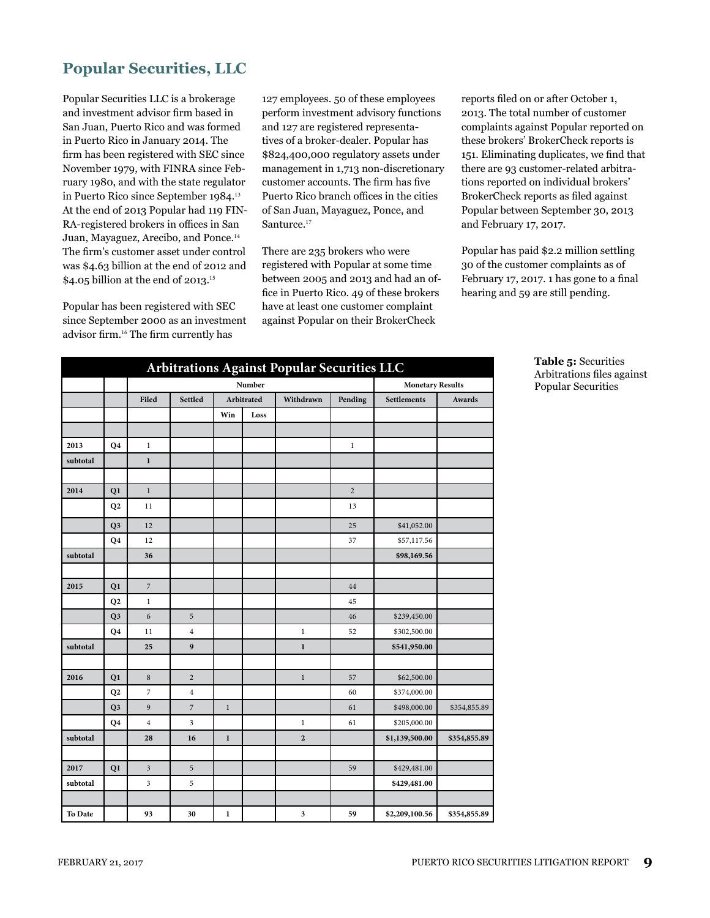## **Popular Securities, LLC**

Popular Securities LLC is a brokerage and investment advisor firm based in San Juan, Puerto Rico and was formed in Puerto Rico in January 2014. The firm has been registered with SEC since November 1979, with FINRA since February 1980, and with the state regulator in Puerto Rico since September 1984.<sup>13</sup> At the end of 2013 Popular had 119 FIN-RA-registered brokers in offices in San Juan, Mayaguez, Arecibo, and Ponce.<sup>14</sup> The firm's customer asset under control was \$4.63 billion at the end of 2012 and \$4.05 billion at the end of 2013.<sup>15</sup>

Popular has been registered with SEC since September 2000 as an investment advisor firm.16 The firm currently has

127 employees. 50 of these employees perform investment advisory functions and 127 are registered representatives of a broker-dealer. Popular has \$824,400,000 regulatory assets under management in 1,713 non-discretionary customer accounts. The firm has five Puerto Rico branch offices in the cities of San Juan, Mayaguez, Ponce, and Santurce.<sup>17</sup>

There are 235 brokers who were registered with Popular at some time between 2005 and 2013 and had an office in Puerto Rico. 49 of these brokers have at least one customer complaint against Popular on their BrokerCheck

reports filed on or after October 1, 2013. The total number of customer complaints against Popular reported on these brokers' BrokerCheck reports is 151. Eliminating duplicates, we find that there are 93 customer-related arbitrations reported on individual brokers' BrokerCheck reports as filed against Popular between September 30, 2013 and February 17, 2017.

Popular has paid \$2.2 million settling 30 of the customer complaints as of February 17, 2017. 1 has gone to a final hearing and 59 are still pending.

| Arbitrations Against Popular Securities LLC |                |                  |                |                         |            |                         |                |                              |              |  |  |  |  |
|---------------------------------------------|----------------|------------------|----------------|-------------------------|------------|-------------------------|----------------|------------------------------|--------------|--|--|--|--|
|                                             |                |                  |                | <b>Monetary Results</b> |            |                         |                |                              |              |  |  |  |  |
|                                             |                | Filed            | <b>Settled</b> |                         | Arbitrated | Withdrawn               | Pending        | <b>Settlements</b><br>Awards |              |  |  |  |  |
|                                             |                |                  |                | Win                     | Loss       |                         |                |                              |              |  |  |  |  |
|                                             |                |                  |                |                         |            |                         |                |                              |              |  |  |  |  |
| 2013                                        | Q4             | $\,1$            |                |                         |            |                         | $\mathbf{1}$   |                              |              |  |  |  |  |
| subtotal                                    |                | $\mathbf 1$      |                |                         |            |                         |                |                              |              |  |  |  |  |
|                                             |                |                  |                |                         |            |                         |                |                              |              |  |  |  |  |
| 2014                                        | Q1             | $\,1$            |                |                         |            |                         | $\overline{2}$ |                              |              |  |  |  |  |
|                                             | Q2             | 11               |                |                         |            |                         | 13             |                              |              |  |  |  |  |
|                                             | Q <sub>3</sub> | 12               |                |                         |            |                         | 25             | \$41,052.00                  |              |  |  |  |  |
|                                             | Q <sub>4</sub> | 12               |                |                         |            |                         | 37             | \$57,117.56                  |              |  |  |  |  |
| subtotal                                    |                | 36               |                |                         |            |                         |                | \$98,169.56                  |              |  |  |  |  |
|                                             |                |                  |                |                         |            |                         |                |                              |              |  |  |  |  |
| 2015                                        | Q1             | $\boldsymbol{7}$ |                |                         |            |                         | 44             |                              |              |  |  |  |  |
|                                             | Q2             | $\,1$            |                |                         |            |                         | 45             |                              |              |  |  |  |  |
|                                             | Q <sub>3</sub> | 6                | 5              |                         |            |                         | 46             | \$239,450.00                 |              |  |  |  |  |
|                                             | Q <sub>4</sub> | 11               | $\overline{4}$ |                         |            | $\,1$                   | 52             | \$302,500.00                 |              |  |  |  |  |
| subtotal                                    |                | 25               | 9              |                         |            | $\mathbf 1$             |                | \$541,950.00                 |              |  |  |  |  |
|                                             |                |                  |                |                         |            |                         |                |                              |              |  |  |  |  |
| 2016                                        | Q1             | 8                | $\overline{2}$ |                         |            | $\mathbf{1}$            | 57             | \$62,500.00                  |              |  |  |  |  |
|                                             | Q2             | 7                | $\overline{4}$ |                         |            |                         | 60             | \$374,000.00                 |              |  |  |  |  |
|                                             | Q <sub>3</sub> | 9                | $\sqrt{2}$     | $\,1$                   |            |                         | 61             | \$498,000.00                 | \$354,855.89 |  |  |  |  |
|                                             | Q4             | $\overline{4}$   | 3              |                         |            | $\mathbf{1}$            | 61             | \$205,000.00                 |              |  |  |  |  |
| subtotal                                    |                | 28               | 16             | $\mathbf 1$             |            | $\overline{2}$          |                | \$1,139,500.00               | \$354,855.89 |  |  |  |  |
|                                             |                |                  |                |                         |            |                         |                |                              |              |  |  |  |  |
| 2017                                        | Q1             | $\mathfrak{Z}$   | $\sqrt{5}$     |                         |            |                         | 59             | \$429,481.00                 |              |  |  |  |  |
| subtotal                                    |                | 3                | 5              |                         |            |                         |                | \$429,481.00                 |              |  |  |  |  |
|                                             |                |                  |                |                         |            |                         |                |                              |              |  |  |  |  |
| To Date                                     |                | 93               | 30             | $\mathbf{1}$            |            | $\overline{\mathbf{3}}$ | 59             | \$2,209,100.56               | \$354,855.89 |  |  |  |  |

**Table 5:** Securities Arbitrations files against Popular Securities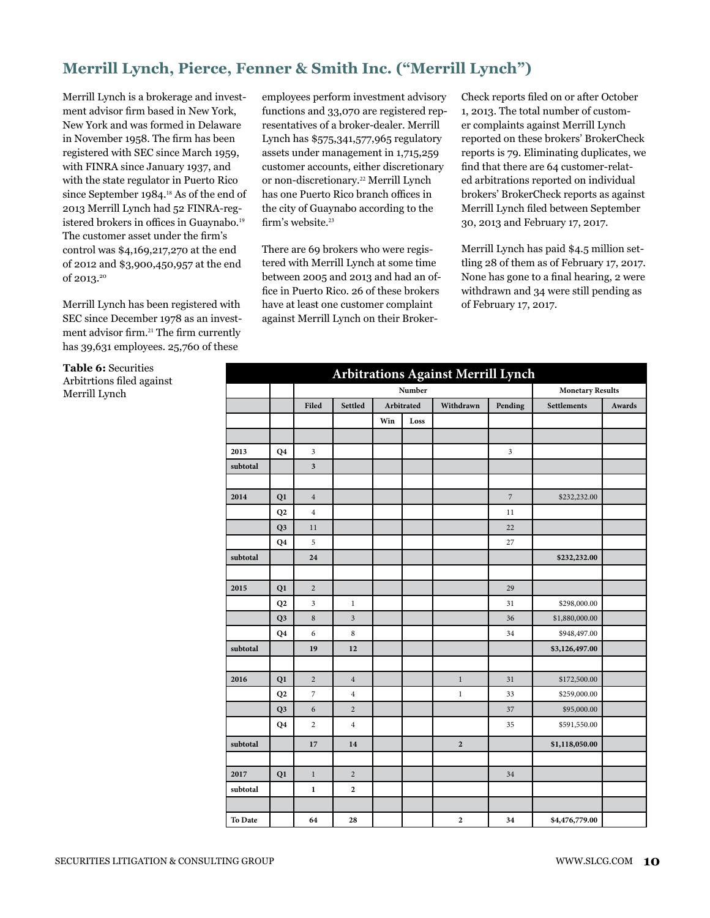# **Merrill Lynch, Pierce, Fenner & Smith Inc. ("Merrill Lynch")**

Merrill Lynch is a brokerage and investment advisor firm based in New York, New York and was formed in Delaware in November 1958. The firm has been registered with SEC since March 1959, with FINRA since January 1937, and with the state regulator in Puerto Rico since September 1984.<sup>18</sup> As of the end of 2013 Merrill Lynch had 52 FINRA-registered brokers in offices in Guaynabo.<sup>19</sup> The customer asset under the firm's control was \$4,169,217,270 at the end of 2012 and \$3,900,450,957 at the end of 2013.20

Merrill Lynch has been registered with SEC since December 1978 as an investment advisor firm.21 The firm currently has 39,631 employees. 25,760 of these

**Table 6:** Securities Arbitrtions filed against Merrill Lynch

employees perform investment advisory functions and 33,070 are registered representatives of a broker-dealer. Merrill Lynch has \$575,341,577,965 regulatory assets under management in 1,715,259 customer accounts, either discretionary or non-discretionary.22 Merrill Lynch has one Puerto Rico branch offices in the city of Guaynabo according to the firm's website.<sup>23</sup>

There are 69 brokers who were registered with Merrill Lynch at some time between 2005 and 2013 and had an office in Puerto Rico. 26 of these brokers have at least one customer complaint against Merrill Lynch on their BrokerCheck reports filed on or after October 1, 2013. The total number of customer complaints against Merrill Lynch reported on these brokers' BrokerCheck reports is 79. Eliminating duplicates, we find that there are 64 customer-related arbitrations reported on individual brokers' BrokerCheck reports as against Merrill Lynch filed between September 30, 2013 and February 17, 2017.

Merrill Lynch has paid \$4.5 million settling 28 of them as of February 17, 2017. None has gone to a final hearing, 2 were withdrawn and 34 were still pending as of February 17, 2017.

|          |                |                         |                  |                         |            | <b>Arbitrations Against Merrill Lynch</b> |               |                |        |
|----------|----------------|-------------------------|------------------|-------------------------|------------|-------------------------------------------|---------------|----------------|--------|
|          |                |                         |                  | <b>Monetary Results</b> |            |                                           |               |                |        |
|          |                | Filed                   | Settled          |                         | Arbitrated | Withdrawn                                 | Pending       | Settlements    | Awards |
|          |                |                         |                  | Win                     | Loss       |                                           |               |                |        |
|          |                |                         |                  |                         |            |                                           |               |                |        |
| 2013     | Q <sub>4</sub> | $\mathfrak{Z}$          |                  |                         |            |                                           | $\mathfrak z$ |                |        |
| subtotal |                | $\overline{\mathbf{3}}$ |                  |                         |            |                                           |               |                |        |
|          |                |                         |                  |                         |            |                                           |               |                |        |
| 2014     | Q1             | $\overline{4}$          |                  |                         |            |                                           | $\sqrt{2}$    | \$232,232.00   |        |
|          | Q <sub>2</sub> | $\overline{4}$          |                  |                         |            |                                           | 11            |                |        |
|          | Q <sub>3</sub> | 11                      |                  |                         |            |                                           | 22            |                |        |
|          | Q4             | 5                       |                  |                         |            |                                           | 27            |                |        |
| subtotal |                | 24                      |                  |                         |            |                                           |               | \$232,232.00   |        |
|          |                |                         |                  |                         |            |                                           |               |                |        |
| 2015     | Q1             | $\sqrt{2}$              |                  |                         |            |                                           | 29            |                |        |
|          | Q2             | 3                       | $\,1$            |                         |            |                                           | 31            | \$298,000.00   |        |
|          | Q <sub>3</sub> | $\,$ 8 $\,$             | 3                |                         |            |                                           | 36            | \$1,880,000.00 |        |
|          | Q <sub>4</sub> | 6                       | 8                |                         |            |                                           | 34            | \$948,497.00   |        |
| subtotal |                | 19                      | 12               |                         |            |                                           |               | \$3,126,497.00 |        |
|          |                |                         |                  |                         |            |                                           |               |                |        |
| 2016     | Q1             | $\overline{2}$          | $\overline{4}$   |                         |            | $\,1$                                     | 31            | \$172,500.00   |        |
|          | Q2             | $\overline{7}$          | $\overline{4}$   |                         |            | $\mathbf{1}$                              | 33            | \$259,000.00   |        |
|          | Q <sub>3</sub> | $\boldsymbol{6}$        | $\overline{2}$   |                         |            |                                           | 37            | \$95,000.00    |        |
|          | Q <sub>4</sub> | $\sqrt{2}$              | $\overline{4}$   |                         |            |                                           | 35            | \$591,550.00   |        |
| subtotal |                | 17                      | 14               |                         |            | $\overline{2}$                            |               | \$1,118,050.00 |        |
|          |                |                         |                  |                         |            |                                           |               |                |        |
| 2017     | Q1             | $\,1\,$                 | $\sqrt{2}$       |                         |            |                                           | 34            |                |        |
| subtotal |                | $\mathbf 1$             | $\boldsymbol{2}$ |                         |            |                                           |               |                |        |
|          |                |                         |                  |                         |            |                                           |               |                |        |
| To Date  |                | 64                      | 28               |                         |            | $\overline{2}$                            | 34            | \$4,476,779.00 |        |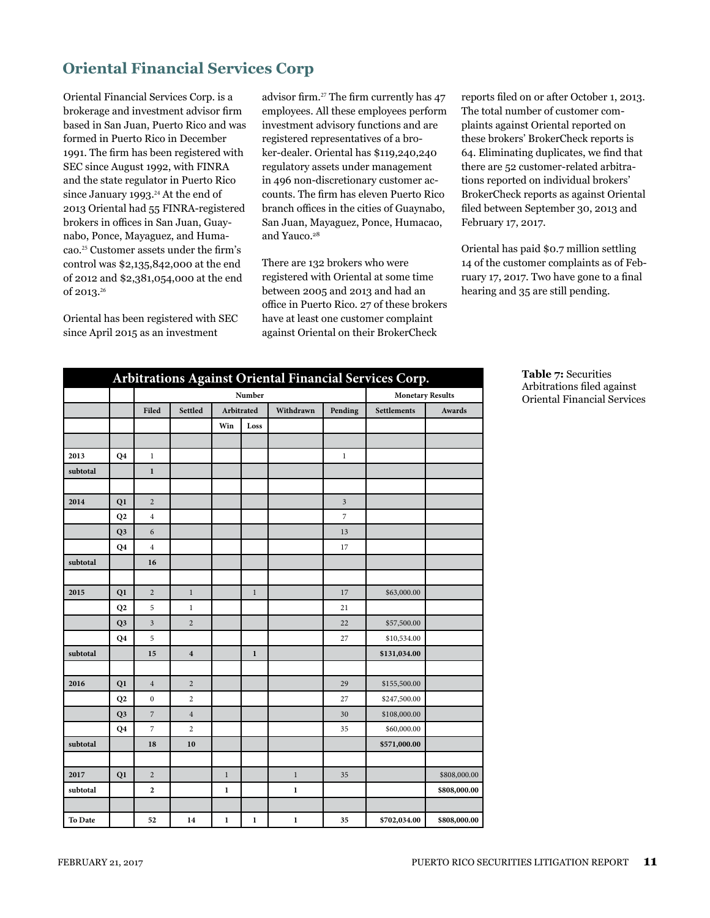# **Oriental Financial Services Corp**

Oriental Financial Services Corp. is a brokerage and investment advisor firm based in San Juan, Puerto Rico and was formed in Puerto Rico in December 1991. The firm has been registered with SEC since August 1992, with FINRA and the state regulator in Puerto Rico since January 1993.<sup>24</sup> At the end of 2013 Oriental had 55 FINRA-registered brokers in offices in San Juan, Guaynabo, Ponce, Mayaguez, and Humacao.25 Customer assets under the firm's control was \$2,135,842,000 at the end of 2012 and \$2,381,054,000 at the end of 2013.<sup>26</sup>

Oriental has been registered with SEC since April 2015 as an investment

advisor firm.27 The firm currently has 47 employees. All these employees perform investment advisory functions and are registered representatives of a broker-dealer. Oriental has \$119,240,240 regulatory assets under management in 496 non-discretionary customer accounts. The firm has eleven Puerto Rico branch offices in the cities of Guaynabo, San Juan, Mayaguez, Ponce, Humacao, and Yauco.<sup>28</sup>

There are 132 brokers who were registered with Oriental at some time between 2005 and 2013 and had an office in Puerto Rico. 27 of these brokers have at least one customer complaint against Oriental on their BrokerCheck

reports filed on or after October 1, 2013. The total number of customer complaints against Oriental reported on these brokers' BrokerCheck reports is 64. Eliminating duplicates, we find that there are 52 customer-related arbitrations reported on individual brokers' BrokerCheck reports as against Oriental filed between September 30, 2013 and February 17, 2017.

Oriental has paid \$0.7 million settling 14 of the customer complaints as of February 17, 2017. Two have gone to a final hearing and 35 are still pending.

| Arbitrations Against Oriental Financial Services Corp. |                |                  |                         |                         |                         |             |                         |                    |              |  |  |  |
|--------------------------------------------------------|----------------|------------------|-------------------------|-------------------------|-------------------------|-------------|-------------------------|--------------------|--------------|--|--|--|
|                                                        |                |                  |                         | <b>Monetary Results</b> |                         |             |                         |                    |              |  |  |  |
|                                                        |                | Filed            | Settled                 |                         | Arbitrated<br>Withdrawn |             | Pending                 | <b>Settlements</b> | Awards       |  |  |  |
|                                                        |                |                  |                         | Win                     | Loss                    |             |                         |                    |              |  |  |  |
|                                                        |                |                  |                         |                         |                         |             |                         |                    |              |  |  |  |
| 2013                                                   | Q <sub>4</sub> | $\,1$            |                         |                         |                         |             | $\mathbf{1}$            |                    |              |  |  |  |
| subtotal                                               |                | $\mathbf{1}$     |                         |                         |                         |             |                         |                    |              |  |  |  |
|                                                        |                |                  |                         |                         |                         |             |                         |                    |              |  |  |  |
| 2014                                                   | Q1             | $\overline{2}$   |                         |                         |                         |             | $\overline{\mathbf{3}}$ |                    |              |  |  |  |
|                                                        | Q2             | $\overline{4}$   |                         |                         |                         |             | $\boldsymbol{7}$        |                    |              |  |  |  |
|                                                        | Q <sub>3</sub> | 6                |                         |                         |                         |             | 13                      |                    |              |  |  |  |
|                                                        | Q <sub>4</sub> | $\overline{4}$   |                         |                         |                         |             | 17                      |                    |              |  |  |  |
| subtotal                                               |                | 16               |                         |                         |                         |             |                         |                    |              |  |  |  |
|                                                        |                |                  |                         |                         |                         |             |                         |                    |              |  |  |  |
| 2015                                                   | Q1             | $\overline{2}$   | $1\,$                   |                         | $\,1$                   |             | 17                      | \$63,000.00        |              |  |  |  |
|                                                        | Q2             | 5                | $\mathbf{1}$            |                         |                         |             | 21                      |                    |              |  |  |  |
|                                                        | Q <sub>3</sub> | $\overline{3}$   | $\overline{2}$          |                         |                         |             | 22                      | \$57,500.00        |              |  |  |  |
|                                                        | Q4             | 5                |                         |                         |                         |             | 27                      | \$10,534.00        |              |  |  |  |
| subtotal                                               |                | 15               | $\overline{\mathbf{4}}$ |                         | $\mathbf 1$             |             |                         | \$131,034.00       |              |  |  |  |
|                                                        |                |                  |                         |                         |                         |             |                         |                    |              |  |  |  |
| 2016                                                   | Q1             | $\overline{4}$   | $\overline{c}$          |                         |                         |             | 29                      | \$155,500.00       |              |  |  |  |
|                                                        | Q2             | $\boldsymbol{0}$ | $\overline{2}$          |                         |                         |             | 27                      | \$247,500.00       |              |  |  |  |
|                                                        | Q <sub>3</sub> | $\overline{7}$   | $\overline{4}$          |                         |                         |             | 30                      | \$108,000.00       |              |  |  |  |
|                                                        | Q <sub>4</sub> | $\overline{7}$   | $\overline{2}$          |                         |                         |             | 35                      | \$60,000.00        |              |  |  |  |
| subtotal                                               |                | 18               | 10                      |                         |                         |             |                         | \$571,000.00       |              |  |  |  |
|                                                        |                |                  |                         |                         |                         |             |                         |                    |              |  |  |  |
| 2017                                                   | Q1             | $\overline{c}$   |                         | $\,1$                   |                         | $\,1$       | 35                      |                    | \$808,000.00 |  |  |  |
| subtotal                                               |                | $\overline{2}$   |                         | $\mathbf{1}$            |                         | $\mathbf 1$ |                         |                    | \$808,000.00 |  |  |  |
|                                                        |                |                  |                         |                         |                         |             |                         |                    |              |  |  |  |
| To Date                                                |                | 52               | 14                      | $\mathbf{1}$            | $\mathbf{1}$            | $\mathbf 1$ | 35                      | \$702,034.00       | \$808,000.00 |  |  |  |

**Table 7:** Securities Arbitrations filed against Oriental Financial Services